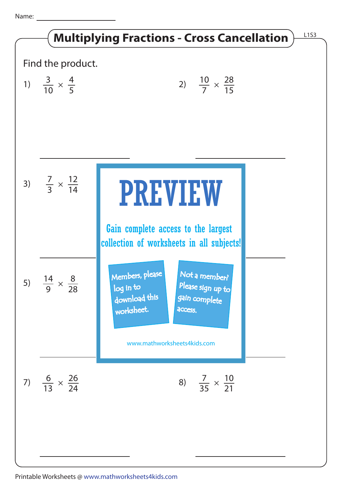